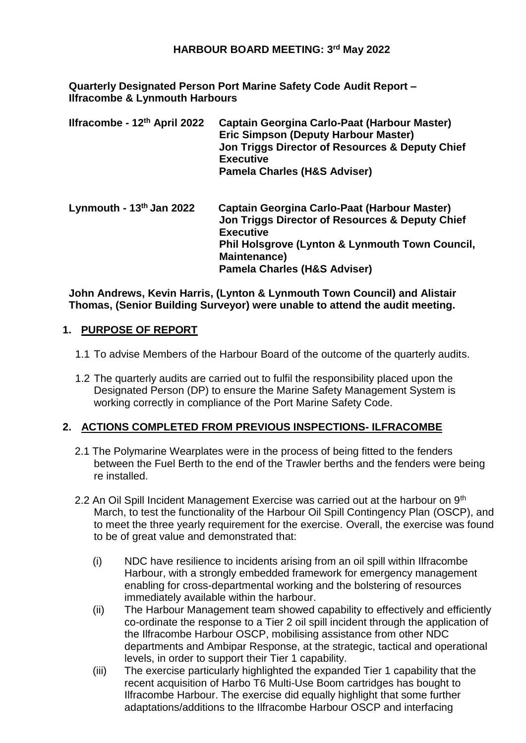### **HARBOUR BOARD MEETING: 3 rd May 2022**

**Quarterly Designated Person Port Marine Safety Code Audit Report – Ilfracombe & Lynmouth Harbours**

| Ilfracombe - 12th April 2022 | <b>Captain Georgina Carlo-Paat (Harbour Master)</b><br><b>Eric Simpson (Deputy Harbour Master)</b><br>Jon Triggs Director of Resources & Deputy Chief<br><b>Executive</b><br><b>Pamela Charles (H&amp;S Adviser)</b>                                |
|------------------------------|-----------------------------------------------------------------------------------------------------------------------------------------------------------------------------------------------------------------------------------------------------|
| Lynmouth - $13th$ Jan 2022   | Captain Georgina Carlo-Paat (Harbour Master)<br>Jon Triggs Director of Resources & Deputy Chief<br><b>Executive</b><br><b>Phil Holsgrove (Lynton &amp; Lynmouth Town Council,</b><br><b>Maintenance)</b><br><b>Pamela Charles (H&amp;S Adviser)</b> |

**John Andrews, Kevin Harris, (Lynton & Lynmouth Town Council) and Alistair Thomas, (Senior Building Surveyor) were unable to attend the audit meeting.** 

### **1. PURPOSE OF REPORT**

- 1.1 To advise Members of the Harbour Board of the outcome of the quarterly audits.
- 1.2 The quarterly audits are carried out to fulfil the responsibility placed upon the Designated Person (DP) to ensure the Marine Safety Management System is working correctly in compliance of the Port Marine Safety Code.

### **2. ACTIONS COMPLETED FROM PREVIOUS INSPECTIONS- ILFRACOMBE**

- 2.1 The Polymarine Wearplates were in the process of being fitted to the fenders between the Fuel Berth to the end of the Trawler berths and the fenders were being re installed.
- 2.2 An Oil Spill Incident Management Exercise was carried out at the harbour on 9<sup>th</sup> March, to test the functionality of the Harbour Oil Spill Contingency Plan (OSCP), and to meet the three yearly requirement for the exercise. Overall, the exercise was found to be of great value and demonstrated that:
	- (i) NDC have resilience to incidents arising from an oil spill within Ilfracombe Harbour, with a strongly embedded framework for emergency management enabling for cross-departmental working and the bolstering of resources immediately available within the harbour.
	- (ii) The Harbour Management team showed capability to effectively and efficiently co-ordinate the response to a Tier 2 oil spill incident through the application of the Ilfracombe Harbour OSCP, mobilising assistance from other NDC departments and Ambipar Response, at the strategic, tactical and operational levels, in order to support their Tier 1 capability.
	- (iii) The exercise particularly highlighted the expanded Tier 1 capability that the recent acquisition of Harbo T6 Multi-Use Boom cartridges has bought to Ilfracombe Harbour. The exercise did equally highlight that some further adaptations/additions to the Ilfracombe Harbour OSCP and interfacing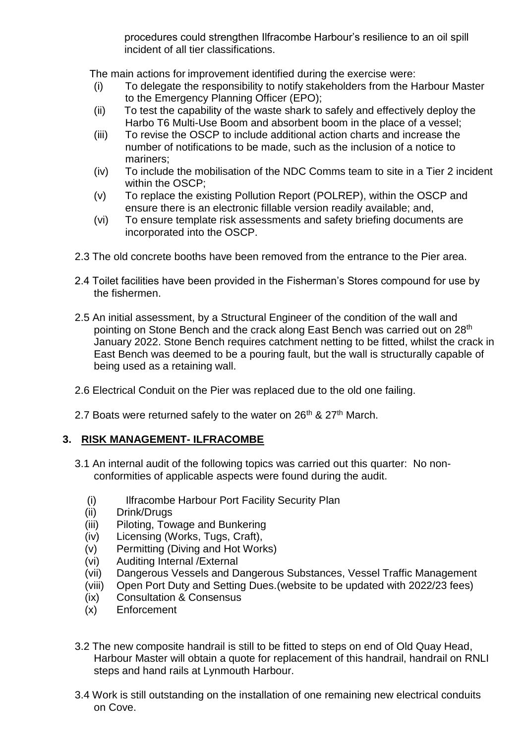procedures could strengthen Ilfracombe Harbour's resilience to an oil spill incident of all tier classifications.

The main actions for improvement identified during the exercise were:

- (i) To delegate the responsibility to notify stakeholders from the Harbour Master to the Emergency Planning Officer (EPO);
- (ii) To test the capability of the waste shark to safely and effectively deploy the Harbo T6 Multi-Use Boom and absorbent boom in the place of a vessel;
- (iii) To revise the OSCP to include additional action charts and increase the number of notifications to be made, such as the inclusion of a notice to mariners;
- (iv) To include the mobilisation of the NDC Comms team to site in a Tier 2 incident within the OSCP;
- (v) To replace the existing Pollution Report (POLREP), within the OSCP and ensure there is an electronic fillable version readily available; and,
- (vi) To ensure template risk assessments and safety briefing documents are incorporated into the OSCP.
- 2.3 The old concrete booths have been removed from the entrance to the Pier area.
- 2.4 Toilet facilities have been provided in the Fisherman's Stores compound for use by the fishermen.
- 2.5 An initial assessment, by a Structural Engineer of the condition of the wall and pointing on Stone Bench and the crack along East Bench was carried out on 28<sup>th</sup> January 2022. Stone Bench requires catchment netting to be fitted, whilst the crack in East Bench was deemed to be a pouring fault, but the wall is structurally capable of being used as a retaining wall.
- 2.6 Electrical Conduit on the Pier was replaced due to the old one failing.
- 2.7 Boats were returned safely to the water on  $26<sup>th</sup>$  &  $27<sup>th</sup>$  March.

## **3. RISK MANAGEMENT- ILFRACOMBE**

- 3.1 An internal audit of the following topics was carried out this quarter: No nonconformities of applicable aspects were found during the audit.
	- (i) Ilfracombe Harbour Port Facility Security Plan
	- (ii) Drink/Drugs
	- (iii) Piloting, Towage and Bunkering
	- (iv) Licensing (Works, Tugs, Craft),
	- (v) Permitting (Diving and Hot Works)
	- (vi) Auditing Internal /External
	- (vii) Dangerous Vessels and Dangerous Substances, Vessel Traffic Management
	- (viii) Open Port Duty and Setting Dues.(website to be updated with 2022/23 fees)
	- (ix) Consultation & Consensus
	- (x) Enforcement
- 3.2 The new composite handrail is still to be fitted to steps on end of Old Quay Head, Harbour Master will obtain a quote for replacement of this handrail, handrail on RNLI steps and hand rails at Lynmouth Harbour.
- 3.4 Work is still outstanding on the installation of one remaining new electrical conduits on Cove.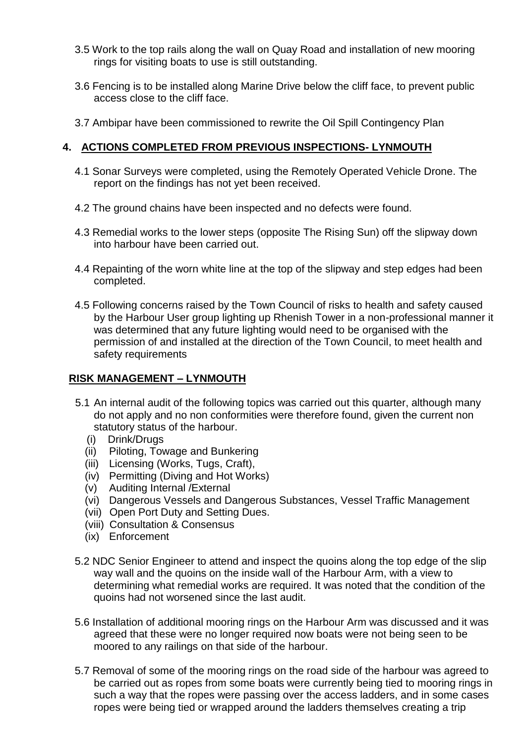- 3.5 Work to the top rails along the wall on Quay Road and installation of new mooring rings for visiting boats to use is still outstanding.
- 3.6 Fencing is to be installed along Marine Drive below the cliff face, to prevent public access close to the cliff face.
- 3.7 Ambipar have been commissioned to rewrite the Oil Spill Contingency Plan

# **4. ACTIONS COMPLETED FROM PREVIOUS INSPECTIONS- LYNMOUTH**

- 4.1 Sonar Surveys were completed, using the Remotely Operated Vehicle Drone. The report on the findings has not yet been received.
- 4.2 The ground chains have been inspected and no defects were found.
- 4.3 Remedial works to the lower steps (opposite The Rising Sun) off the slipway down into harbour have been carried out.
- 4.4 Repainting of the worn white line at the top of the slipway and step edges had been completed.
- 4.5 Following concerns raised by the Town Council of risks to health and safety caused by the Harbour User group lighting up Rhenish Tower in a non-professional manner it was determined that any future lighting would need to be organised with the permission of and installed at the direction of the Town Council, to meet health and safety requirements

## **RISK MANAGEMENT – LYNMOUTH**

- 5.1 An internal audit of the following topics was carried out this quarter, although many do not apply and no non conformities were therefore found, given the current non statutory status of the harbour.
- (i) Drink/Drugs
	- (ii) Piloting, Towage and Bunkering
	- (iii) Licensing (Works, Tugs, Craft),
	- (iv) Permitting (Diving and Hot Works)
	- (v) Auditing Internal /External
	- (vi) Dangerous Vessels and Dangerous Substances, Vessel Traffic Management
	- (vii) Open Port Duty and Setting Dues.
	- (viii) Consultation & Consensus
	- (ix) Enforcement
- 5.2 NDC Senior Engineer to attend and inspect the quoins along the top edge of the slip way wall and the quoins on the inside wall of the Harbour Arm, with a view to determining what remedial works are required. It was noted that the condition of the quoins had not worsened since the last audit.
- 5.6 Installation of additional mooring rings on the Harbour Arm was discussed and it was agreed that these were no longer required now boats were not being seen to be moored to any railings on that side of the harbour.
- 5.7 Removal of some of the mooring rings on the road side of the harbour was agreed to be carried out as ropes from some boats were currently being tied to mooring rings in such a way that the ropes were passing over the access ladders, and in some cases ropes were being tied or wrapped around the ladders themselves creating a trip